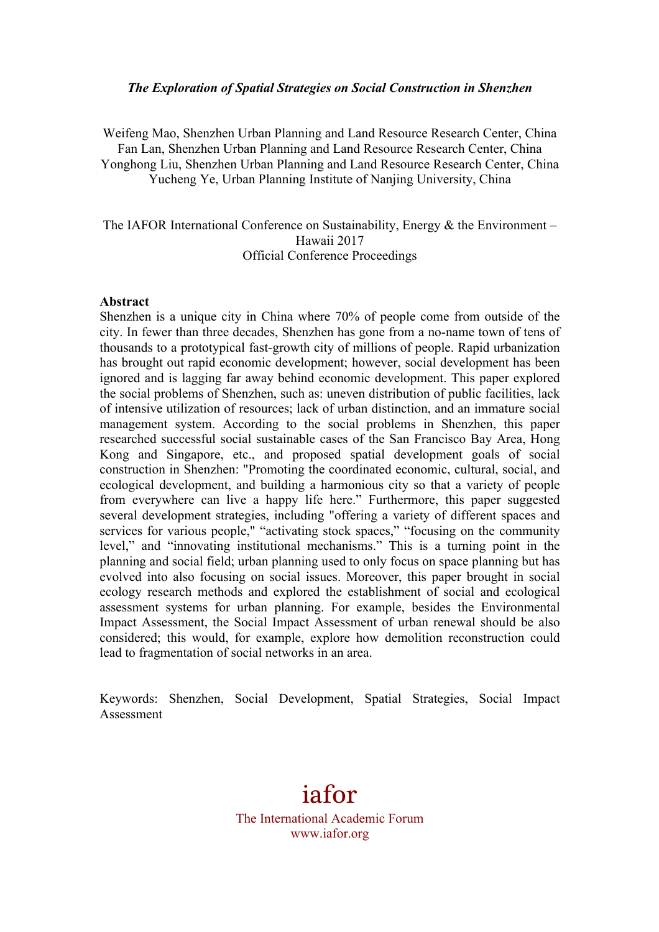#### *The Exploration of Spatial Strategies on Social Construction in Shenzhen*

Weifeng Mao, Shenzhen Urban Planning and Land Resource Research Center, China Fan Lan, Shenzhen Urban Planning and Land Resource Research Center, China Yonghong Liu, Shenzhen Urban Planning and Land Resource Research Center, China Yucheng Ye, Urban Planning Institute of Nanjing University, China

The IAFOR International Conference on Sustainability, Energy & the Environment – Hawaii 2017 Official Conference Proceedings

#### **Abstract**

Shenzhen is a unique city in China where 70% of people come from outside of the city. In fewer than three decades, Shenzhen has gone from a no-name town of tens of thousands to a prototypical fast-growth city of millions of people. Rapid urbanization has brought out rapid economic development; however, social development has been ignored and is lagging far away behind economic development. This paper explored the social problems of Shenzhen, such as: uneven distribution of public facilities, lack of intensive utilization of resources; lack of urban distinction, and an immature social management system. According to the social problems in Shenzhen, this paper researched successful social sustainable cases of the San Francisco Bay Area, Hong Kong and Singapore, etc., and proposed spatial development goals of social construction in Shenzhen: "Promoting the coordinated economic, cultural, social, and ecological development, and building a harmonious city so that a variety of people from everywhere can live a happy life here." Furthermore, this paper suggested several development strategies, including "offering a variety of different spaces and services for various people," "activating stock spaces," "focusing on the community level," and "innovating institutional mechanisms." This is a turning point in the planning and social field; urban planning used to only focus on space planning but has evolved into also focusing on social issues. Moreover, this paper brought in social ecology research methods and explored the establishment of social and ecological assessment systems for urban planning. For example, besides the Environmental Impact Assessment, the Social Impact Assessment of urban renewal should be also considered; this would, for example, explore how demolition reconstruction could lead to fragmentation of social networks in an area.

Keywords: Shenzhen, Social Development, Spatial Strategies, Social Impact Assessment

# iafor The International Academic Forum www.iafor.org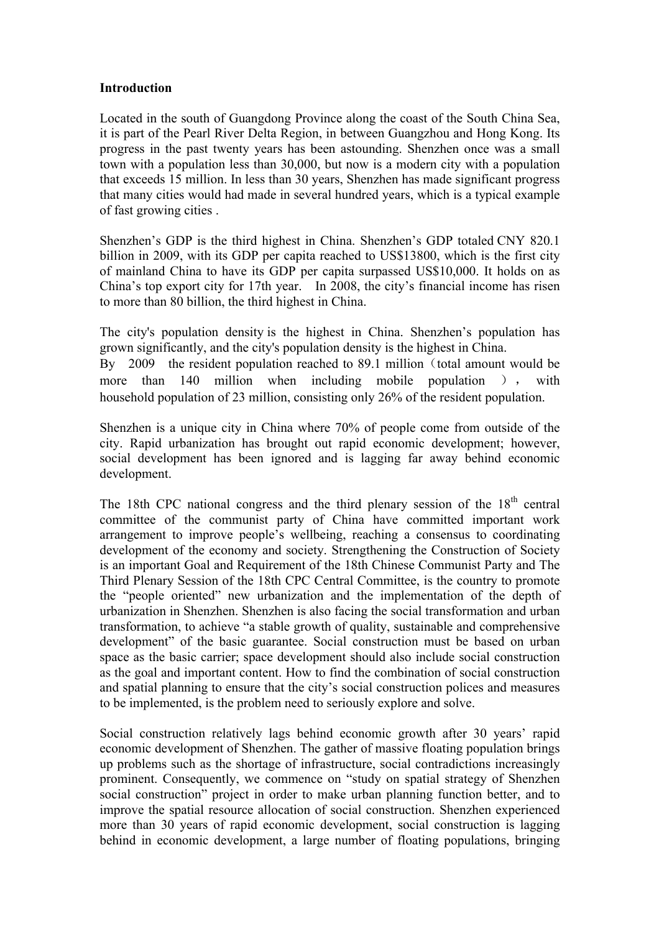#### **Introduction**

Located in the south of Guangdong Province along the coast of the South China Sea, it is part of the Pearl River Delta Region, in between Guangzhou and Hong Kong. Its progress in the past twenty years has been astounding. Shenzhen once was a small town with a population less than 30,000, but now is a modern city with a population that exceeds 15 million. In less than 30 years, Shenzhen has made significant progress that many cities would had made in several hundred years, which is a typical example of fast growing cities .

Shenzhen's GDP is the third highest in China. Shenzhen's GDP totaled CNY 820.1 billion in 2009, with its GDP per capita reached to US\$13800, which is the first city of mainland China to have its GDP per capita surpassed US\$10,000. It holds on as China's top export city for 17th year. In 2008, the city's financial income has risen to more than 80 billion, the third highest in China.

The city's population density is the highest in China. Shenzhen's population has grown significantly, and the city's population density is the highest in China. By  $2009$  the resident population reached to 89.1 million (total amount would be more than 140 million when including mobile population ), with household population of 23 million, consisting only 26% of the resident population.

Shenzhen is a unique city in China where 70% of people come from outside of the city. Rapid urbanization has brought out rapid economic development; however, social development has been ignored and is lagging far away behind economic development.

The 18th CPC national congress and the third plenary session of the  $18<sup>th</sup>$  central committee of the communist party of China have committed important work arrangement to improve people's wellbeing, reaching a consensus to coordinating development of the economy and society. Strengthening the Construction of Society is an important Goal and Requirement of the 18th Chinese Communist Party and The Third Plenary Session of the 18th CPC Central Committee, is the country to promote the "people oriented" new urbanization and the implementation of the depth of urbanization in Shenzhen. Shenzhen is also facing the social transformation and urban transformation, to achieve "a stable growth of quality, sustainable and comprehensive development" of the basic guarantee. Social construction must be based on urban space as the basic carrier; space development should also include social construction as the goal and important content. How to find the combination of social construction and spatial planning to ensure that the city's social construction polices and measures to be implemented, is the problem need to seriously explore and solve.

Social construction relatively lags behind economic growth after 30 years' rapid economic development of Shenzhen. The gather of massive floating population brings up problems such as the shortage of infrastructure, social contradictions increasingly prominent. Consequently, we commence on "study on spatial strategy of Shenzhen social construction" project in order to make urban planning function better, and to improve the spatial resource allocation of social construction. Shenzhen experienced more than 30 years of rapid economic development, social construction is lagging behind in economic development, a large number of floating populations, bringing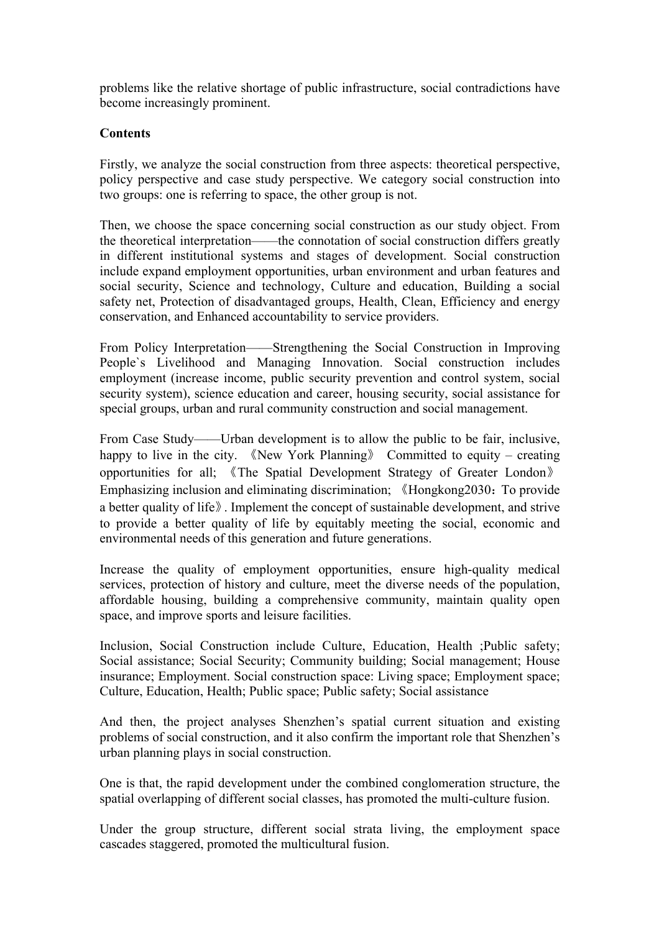problems like the relative shortage of public infrastructure, social contradictions have become increasingly prominent.

#### **Contents**

Firstly, we analyze the social construction from three aspects: theoretical perspective, policy perspective and case study perspective. We category social construction into two groups: one is referring to space, the other group is not.

Then, we choose the space concerning social construction as our study object. From the theoretical interpretation——the connotation of social construction differs greatly in different institutional systems and stages of development. Social construction include expand employment opportunities, urban environment and urban features and social security, Science and technology, Culture and education, Building a social safety net, Protection of disadvantaged groups, Health, Clean, Efficiency and energy conservation, and Enhanced accountability to service providers.

From Policy Interpretation——Strengthening the Social Construction in Improving People`s Livelihood and Managing Innovation. Social construction includes employment (increase income, public security prevention and control system, social security system), science education and career, housing security, social assistance for special groups, urban and rural community construction and social management.

From Case Study——Urban development is to allow the public to be fair, inclusive, happy to live in the city. 《New York Planning》 Committed to equity – creating opportunities for all; 《The Spatial Development Strategy of Greater London》 Emphasizing inclusion and eliminating discrimination; 《Hongkong2030: To provide a better quality of life》. Implement the concept of sustainable development, and strive to provide a better quality of life by equitably meeting the social, economic and environmental needs of this generation and future generations.

Increase the quality of employment opportunities, ensure high-quality medical services, protection of history and culture, meet the diverse needs of the population, affordable housing, building a comprehensive community, maintain quality open space, and improve sports and leisure facilities.

Inclusion, Social Construction include Culture, Education, Health ;Public safety; Social assistance; Social Security; Community building; Social management; House insurance; Employment. Social construction space: Living space; Employment space; Culture, Education, Health; Public space; Public safety; Social assistance

And then, the project analyses Shenzhen's spatial current situation and existing problems of social construction, and it also confirm the important role that Shenzhen's urban planning plays in social construction.

One is that, the rapid development under the combined conglomeration structure, the spatial overlapping of different social classes, has promoted the multi-culture fusion.

Under the group structure, different social strata living, the employment space cascades staggered, promoted the multicultural fusion.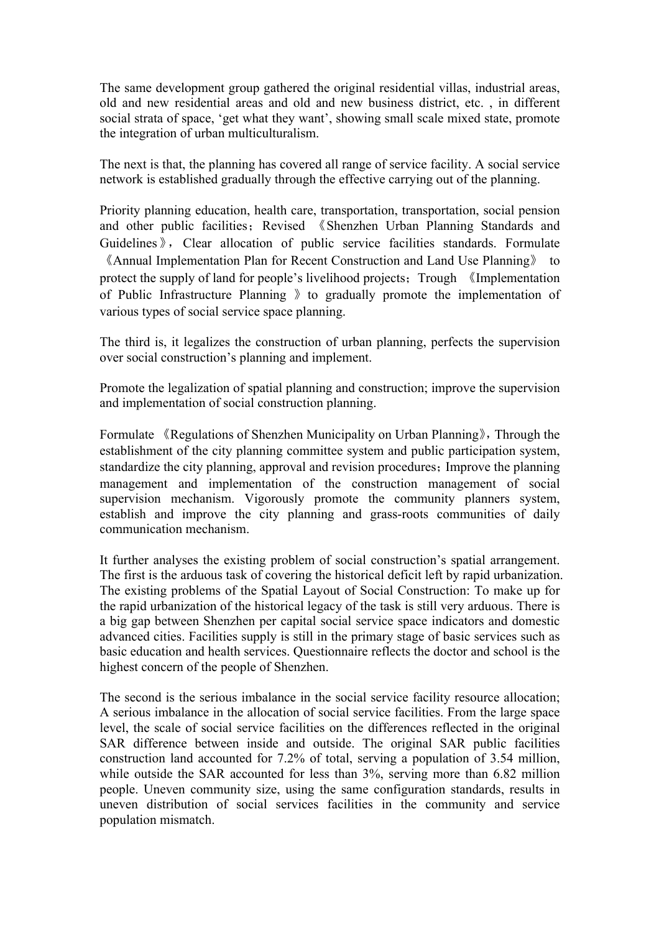The same development group gathered the original residential villas, industrial areas, old and new residential areas and old and new business district, etc. , in different social strata of space, 'get what they want', showing small scale mixed state, promote the integration of urban multiculturalism.

The next is that, the planning has covered all range of service facility. A social service network is established gradually through the effective carrying out of the planning.

Priority planning education, health care, transportation, transportation, social pension and other public facilities; Revised 《Shenzhen Urban Planning Standards and Guidelines », Clear allocation of public service facilities standards. Formulate 《Annual Implementation Plan for Recent Construction and Land Use Planning》 to protect the supply of land for people's livelihood projects; Trough 《Implementation of Public Infrastructure Planning 》to gradually promote the implementation of various types of social service space planning.

The third is, it legalizes the construction of urban planning, perfects the supervision over social construction's planning and implement.

Promote the legalization of spatial planning and construction; improve the supervision and implementation of social construction planning.

Formulate 《Regulations of Shenzhen Municipality on Urban Planning》, Through the establishment of the city planning committee system and public participation system, standardize the city planning, approval and revision procedures; Improve the planning management and implementation of the construction management of social supervision mechanism. Vigorously promote the community planners system, establish and improve the city planning and grass-roots communities of daily communication mechanism.

It further analyses the existing problem of social construction's spatial arrangement. The first is the arduous task of covering the historical deficit left by rapid urbanization. The existing problems of the Spatial Layout of Social Construction: To make up for the rapid urbanization of the historical legacy of the task is still very arduous. There is a big gap between Shenzhen per capital social service space indicators and domestic advanced cities. Facilities supply is still in the primary stage of basic services such as basic education and health services. Questionnaire reflects the doctor and school is the highest concern of the people of Shenzhen.

The second is the serious imbalance in the social service facility resource allocation; A serious imbalance in the allocation of social service facilities. From the large space level, the scale of social service facilities on the differences reflected in the original SAR difference between inside and outside. The original SAR public facilities construction land accounted for 7.2% of total, serving a population of 3.54 million, while outside the SAR accounted for less than  $3\%$ , serving more than 6.82 million people. Uneven community size, using the same configuration standards, results in uneven distribution of social services facilities in the community and service population mismatch.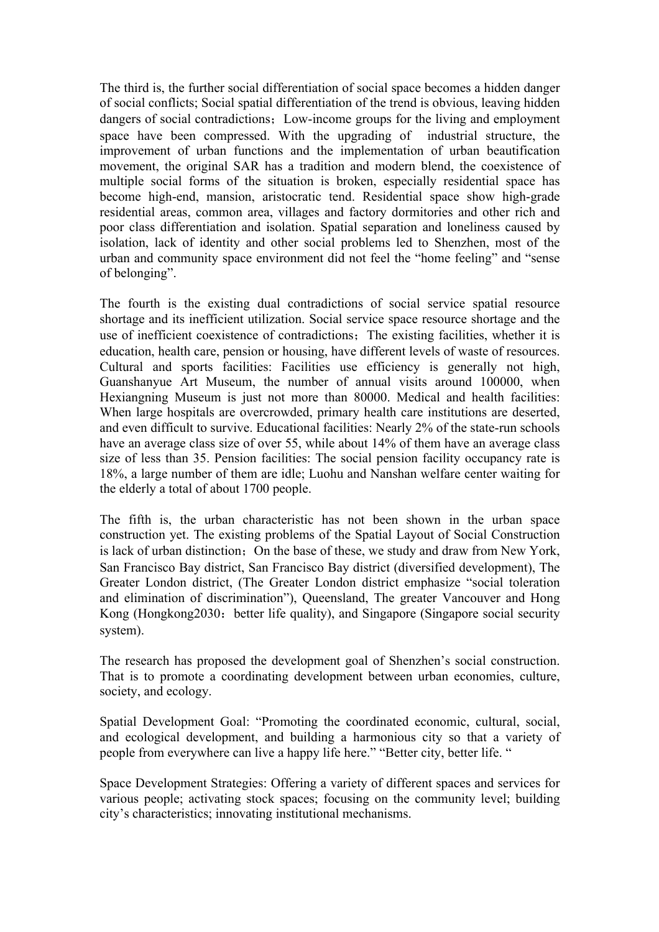The third is, the further social differentiation of social space becomes a hidden danger of social conflicts; Social spatial differentiation of the trend is obvious, leaving hidden dangers of social contradictions; Low-income groups for the living and employment space have been compressed. With the upgrading of industrial structure, the improvement of urban functions and the implementation of urban beautification movement, the original SAR has a tradition and modern blend, the coexistence of multiple social forms of the situation is broken, especially residential space has become high-end, mansion, aristocratic tend. Residential space show high-grade residential areas, common area, villages and factory dormitories and other rich and poor class differentiation and isolation. Spatial separation and loneliness caused by isolation, lack of identity and other social problems led to Shenzhen, most of the urban and community space environment did not feel the "home feeling" and "sense of belonging".

The fourth is the existing dual contradictions of social service spatial resource shortage and its inefficient utilization. Social service space resource shortage and the use of inefficient coexistence of contradictions; The existing facilities, whether it is education, health care, pension or housing, have different levels of waste of resources. Cultural and sports facilities: Facilities use efficiency is generally not high, Guanshanyue Art Museum, the number of annual visits around 100000, when Hexiangning Museum is just not more than 80000. Medical and health facilities: When large hospitals are overcrowded, primary health care institutions are deserted, and even difficult to survive. Educational facilities: Nearly 2% of the state-run schools have an average class size of over 55, while about 14% of them have an average class size of less than 35. Pension facilities: The social pension facility occupancy rate is 18%, a large number of them are idle; Luohu and Nanshan welfare center waiting for the elderly a total of about 1700 people.

The fifth is, the urban characteristic has not been shown in the urban space construction yet. The existing problems of the Spatial Layout of Social Construction is lack of urban distinction; On the base of these, we study and draw from New York, San Francisco Bay district, San Francisco Bay district (diversified development), The Greater London district, (The Greater London district emphasize "social toleration and elimination of discrimination"), Queensland, The greater Vancouver and Hong Kong (Hongkong2030: better life quality), and Singapore (Singapore social security system).

The research has proposed the development goal of Shenzhen's social construction. That is to promote a coordinating development between urban economies, culture, society, and ecology.

Spatial Development Goal: "Promoting the coordinated economic, cultural, social, and ecological development, and building a harmonious city so that a variety of people from everywhere can live a happy life here." "Better city, better life. "

Space Development Strategies: Offering a variety of different spaces and services for various people; activating stock spaces; focusing on the community level; building city's characteristics; innovating institutional mechanisms.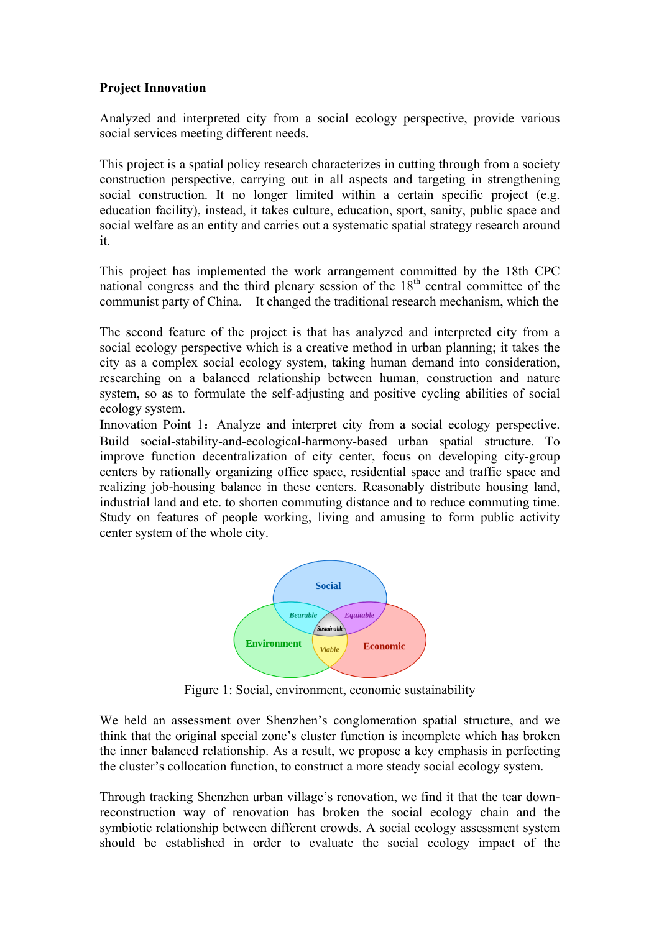### **Project Innovation**

Analyzed and interpreted city from a social ecology perspective, provide various social services meeting different needs.

This project is a spatial policy research characterizes in cutting through from a society construction perspective, carrying out in all aspects and targeting in strengthening social construction. It no longer limited within a certain specific project (e.g. education facility), instead, it takes culture, education, sport, sanity, public space and social welfare as an entity and carries out a systematic spatial strategy research around it.

This project has implemented the work arrangement committed by the 18th CPC national congress and the third plenary session of the  $18<sup>th</sup>$  central committee of the communist party of China. It changed the traditional research mechanism, which the

The second feature of the project is that has analyzed and interpreted city from a social ecology perspective which is a creative method in urban planning; it takes the city as a complex social ecology system, taking human demand into consideration, researching on a balanced relationship between human, construction and nature system, so as to formulate the self-adjusting and positive cycling abilities of social ecology system.

Innovation Point 1: Analyze and interpret city from a social ecology perspective. Build social-stability-and-ecological-harmony-based urban spatial structure. To improve function decentralization of city center, focus on developing city-group centers by rationally organizing office space, residential space and traffic space and realizing job-housing balance in these centers. Reasonably distribute housing land, industrial land and etc. to shorten commuting distance and to reduce commuting time. Study on features of people working, living and amusing to form public activity center system of the whole city.



Figure 1: Social, environment, economic sustainability

We held an assessment over Shenzhen's conglomeration spatial structure, and we think that the original special zone's cluster function is incomplete which has broken the inner balanced relationship. As a result, we propose a key emphasis in perfecting the cluster's collocation function, to construct a more steady social ecology system.

Through tracking Shenzhen urban village's renovation, we find it that the tear downreconstruction way of renovation has broken the social ecology chain and the symbiotic relationship between different crowds. A social ecology assessment system should be established in order to evaluate the social ecology impact of the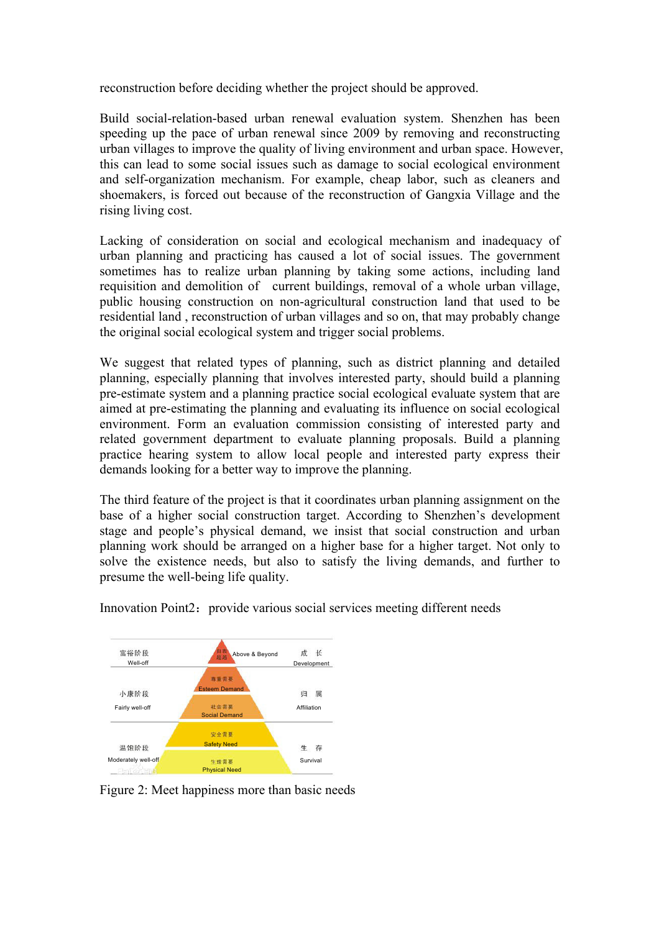reconstruction before deciding whether the project should be approved.

Build social-relation-based urban renewal evaluation system. Shenzhen has been speeding up the pace of urban renewal since 2009 by removing and reconstructing urban villages to improve the quality of living environment and urban space. However, this can lead to some social issues such as damage to social ecological environment and self-organization mechanism. For example, cheap labor, such as cleaners and shoemakers, is forced out because of the reconstruction of Gangxia Village and the rising living cost.

Lacking of consideration on social and ecological mechanism and inadequacy of urban planning and practicing has caused a lot of social issues. The government sometimes has to realize urban planning by taking some actions, including land requisition and demolition of current buildings, removal of a whole urban village, public housing construction on non-agricultural construction land that used to be residential land , reconstruction of urban villages and so on, that may probably change the original social ecological system and trigger social problems.

We suggest that related types of planning, such as district planning and detailed planning, especially planning that involves interested party, should build a planning pre-estimate system and a planning practice social ecological evaluate system that are aimed at pre-estimating the planning and evaluating its influence on social ecological environment. Form an evaluation commission consisting of interested party and related government department to evaluate planning proposals. Build a planning practice hearing system to allow local people and interested party express their demands looking for a better way to improve the planning.

The third feature of the project is that it coordinates urban planning assignment on the base of a higher social construction target. According to Shenzhen's development stage and people's physical demand, we insist that social construction and urban planning work should be arranged on a higher base for a higher target. Not only to solve the existence needs, but also to satisfy the living demands, and further to presume the well-being life quality.



Innovation Point2: provide various social services meeting different needs

Figure 2: Meet happiness more than basic needs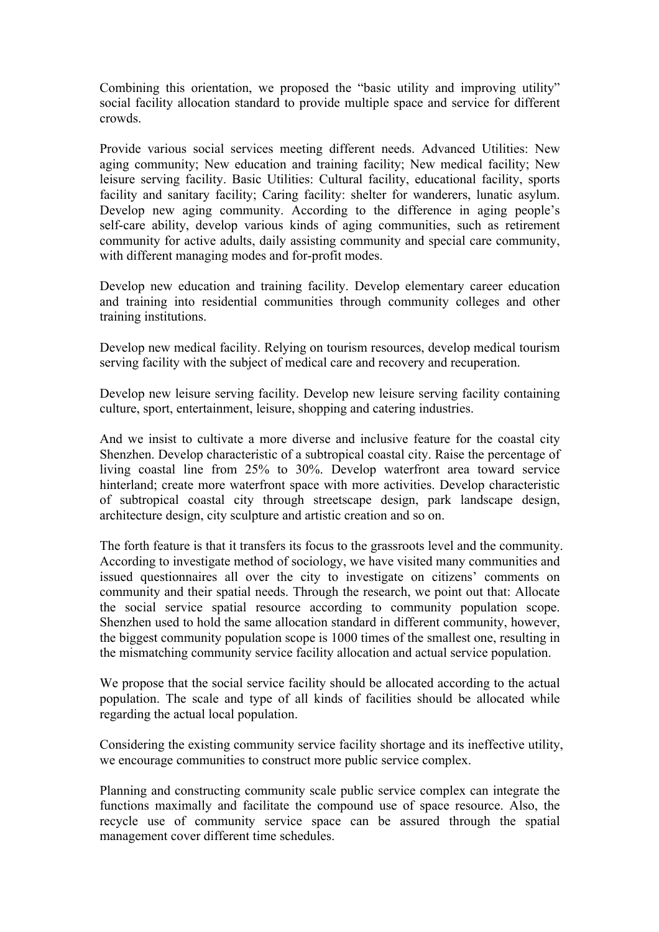Combining this orientation, we proposed the "basic utility and improving utility" social facility allocation standard to provide multiple space and service for different crowds.

Provide various social services meeting different needs. Advanced Utilities: New aging community; New education and training facility; New medical facility; New leisure serving facility. Basic Utilities: Cultural facility, educational facility, sports facility and sanitary facility; Caring facility: shelter for wanderers, lunatic asylum. Develop new aging community. According to the difference in aging people's self-care ability, develop various kinds of aging communities, such as retirement community for active adults, daily assisting community and special care community, with different managing modes and for-profit modes.

Develop new education and training facility. Develop elementary career education and training into residential communities through community colleges and other training institutions.

Develop new medical facility. Relying on tourism resources, develop medical tourism serving facility with the subject of medical care and recovery and recuperation.

Develop new leisure serving facility. Develop new leisure serving facility containing culture, sport, entertainment, leisure, shopping and catering industries.

And we insist to cultivate a more diverse and inclusive feature for the coastal city Shenzhen. Develop characteristic of a subtropical coastal city. Raise the percentage of living coastal line from 25% to 30%. Develop waterfront area toward service hinterland; create more waterfront space with more activities. Develop characteristic of subtropical coastal city through streetscape design, park landscape design, architecture design, city sculpture and artistic creation and so on.

The forth feature is that it transfers its focus to the grassroots level and the community. According to investigate method of sociology, we have visited many communities and issued questionnaires all over the city to investigate on citizens' comments on community and their spatial needs. Through the research, we point out that: Allocate the social service spatial resource according to community population scope. Shenzhen used to hold the same allocation standard in different community, however, the biggest community population scope is 1000 times of the smallest one, resulting in the mismatching community service facility allocation and actual service population.

We propose that the social service facility should be allocated according to the actual population. The scale and type of all kinds of facilities should be allocated while regarding the actual local population.

Considering the existing community service facility shortage and its ineffective utility, we encourage communities to construct more public service complex.

Planning and constructing community scale public service complex can integrate the functions maximally and facilitate the compound use of space resource. Also, the recycle use of community service space can be assured through the spatial management cover different time schedules.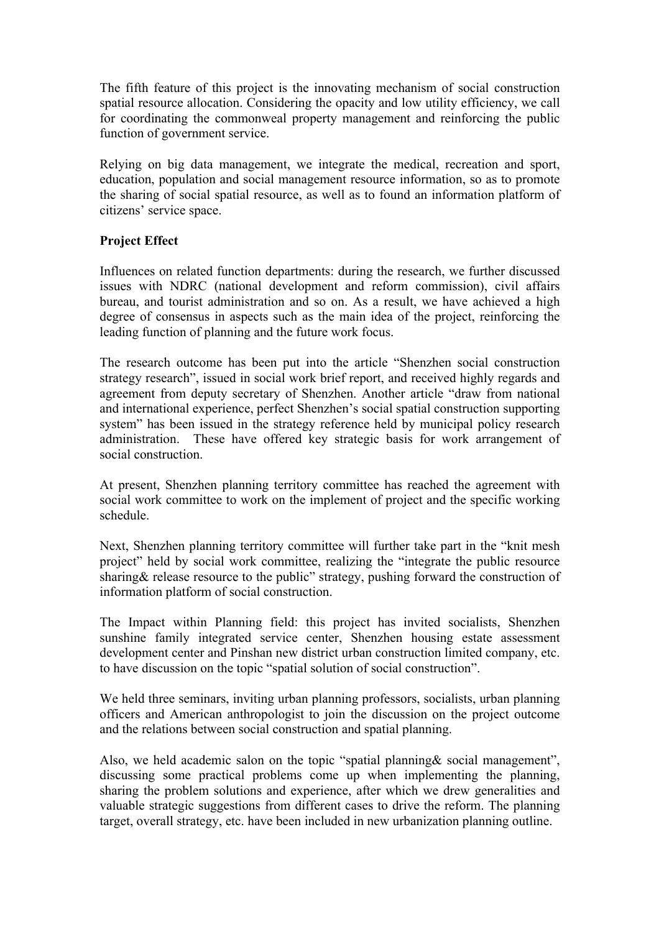The fifth feature of this project is the innovating mechanism of social construction spatial resource allocation. Considering the opacity and low utility efficiency, we call for coordinating the commonweal property management and reinforcing the public function of government service.

Relying on big data management, we integrate the medical, recreation and sport, education, population and social management resource information, so as to promote the sharing of social spatial resource, as well as to found an information platform of citizens' service space.

### **Project Effect**

Influences on related function departments: during the research, we further discussed issues with NDRC (national development and reform commission), civil affairs bureau, and tourist administration and so on. As a result, we have achieved a high degree of consensus in aspects such as the main idea of the project, reinforcing the leading function of planning and the future work focus.

The research outcome has been put into the article "Shenzhen social construction strategy research", issued in social work brief report, and received highly regards and agreement from deputy secretary of Shenzhen. Another article "draw from national and international experience, perfect Shenzhen's social spatial construction supporting system" has been issued in the strategy reference held by municipal policy research administration. These have offered key strategic basis for work arrangement of social construction.

At present, Shenzhen planning territory committee has reached the agreement with social work committee to work on the implement of project and the specific working schedule.

Next, Shenzhen planning territory committee will further take part in the "knit mesh project" held by social work committee, realizing the "integrate the public resource sharing & release resource to the public" strategy, pushing forward the construction of information platform of social construction.

The Impact within Planning field: this project has invited socialists, Shenzhen sunshine family integrated service center, Shenzhen housing estate assessment development center and Pinshan new district urban construction limited company, etc. to have discussion on the topic "spatial solution of social construction".

We held three seminars, inviting urban planning professors, socialists, urban planning officers and American anthropologist to join the discussion on the project outcome and the relations between social construction and spatial planning.

Also, we held academic salon on the topic "spatial planning& social management", discussing some practical problems come up when implementing the planning, sharing the problem solutions and experience, after which we drew generalities and valuable strategic suggestions from different cases to drive the reform. The planning target, overall strategy, etc. have been included in new urbanization planning outline.